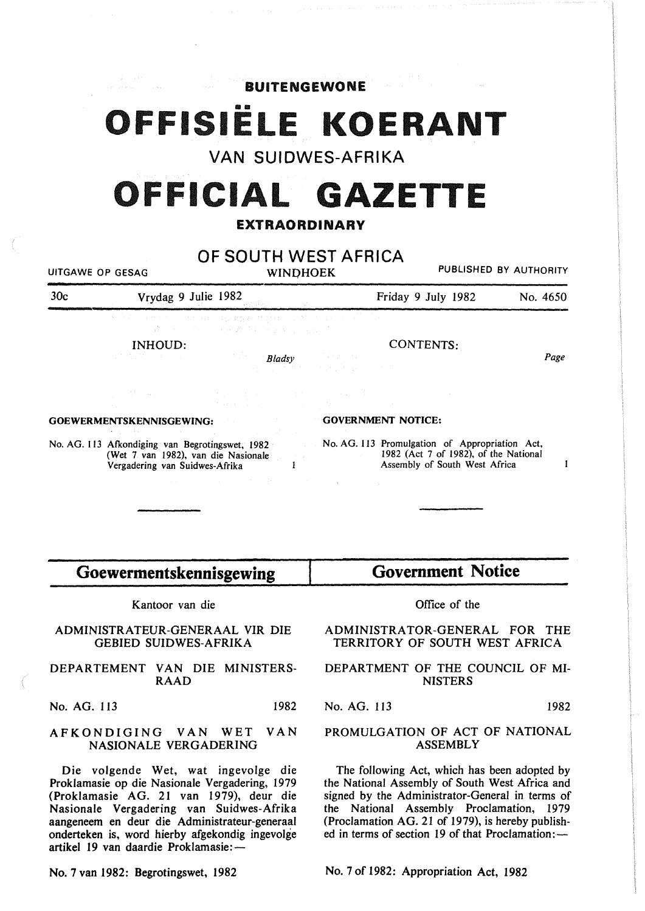BUITENGEWONE

## **OFFISIËLE KOERANT**

VAN SUIDWES-AFRIKA

# OFFICIAL **GAZETTE**

### EXTRAORDINARY

| OF SOUTH WEST AFRICA<br>PUBLISHED BY AUTHORITY<br>UITGAWE OP GESAG<br><b>WINDHOEK</b>                                                                                                                                                                                                   |                                               |                                                                                                        |                                                                                             |                                                    |          |
|-----------------------------------------------------------------------------------------------------------------------------------------------------------------------------------------------------------------------------------------------------------------------------------------|-----------------------------------------------|--------------------------------------------------------------------------------------------------------|---------------------------------------------------------------------------------------------|----------------------------------------------------|----------|
| 30 <sub>c</sub>                                                                                                                                                                                                                                                                         | Vrydag 9 Julie 1982                           |                                                                                                        |                                                                                             | Friday 9 July 1982                                 | No. 4650 |
|                                                                                                                                                                                                                                                                                         |                                               | 有声音 化一种生物 化十分分钟 化硫酸酯 经管理 化旋转 计设备单位<br>しきこと アイトリー わらる ひわっせん かいしゅか                                       |                                                                                             |                                                    |          |
|                                                                                                                                                                                                                                                                                         | INHOUD:                                       | <b>Example 2</b> Bladsy                                                                                | $\mathcal{L}(\mathcal{A}) = \mathcal{L}(\mathcal{A}) \mathcal{L}(\mathcal{A})$ . The set of | CONTENTS:                                          | Page     |
|                                                                                                                                                                                                                                                                                         |                                               | i (1980)<br>1900 - Andrea Britain, amerikansk politiker<br>1900 - Andrea Britain, amerikansk politiker |                                                                                             |                                                    |          |
| <b>GOEWERMENTSKENNISGEWING:</b>                                                                                                                                                                                                                                                         |                                               |                                                                                                        | <b>GOVERNMENT NOTICE:</b>                                                                   |                                                    |          |
| No. AG. 113 Afkondiging van Begrotingswet, 1982 No. AG. 113 Promulgation of Appropriation Act,<br>(Wet 7 van 1982), van die Nasionale<br>Vergadering van Suidwes-Afrika<br>Vergadering van Suidwes-Afrika<br>supervisory of the control of the control of the control of the control of |                                               |                                                                                                        | 1982 (Act 7 of 1982), of the National<br>Assembly of South West Africa                      | 1                                                  |          |
|                                                                                                                                                                                                                                                                                         |                                               |                                                                                                        |                                                                                             |                                                    |          |
| Goewermentskennisgewing                                                                                                                                                                                                                                                                 |                                               |                                                                                                        | <b>Government Notice</b>                                                                    |                                                    |          |
| Kantoor van die                                                                                                                                                                                                                                                                         |                                               | Office of the                                                                                          |                                                                                             |                                                    |          |
| ADMINISTRATEUR-GENERAAL VIR DIE<br><b>GEBIED SUIDWES-AFRIKA</b>                                                                                                                                                                                                                         |                                               |                                                                                                        | ADMINISTRATOR-GENERAL FOR THE<br>TERRITORY OF SOUTH WEST AFRICA                             |                                                    |          |
|                                                                                                                                                                                                                                                                                         | DEPARTEMENT VAN DIE MINISTERS-<br><b>RAAD</b> |                                                                                                        |                                                                                             | DEPARTMENT OF THE COUNCIL OF MI-<br><b>NISTERS</b> |          |

No. AG. 113 1982

#### AFKONDIGING VAN WET VAN NASIONALE VERGADERING

Die volgende Wet, wat ingevolge die Proklamasie op die Nasionale Vergadering, 1979 (Proklamasie AG. 21 van 1979), deur die Nasionale Vergadering van Suidwes-Afrika aangeneem en deur die Administrateur-generaal onderteken is, word hierby afgekondig ingevolge artikel 19 van daardie Proklamasie:-

No.7 van 1982: Begrotingswet, 1982

No. AG. 113 1982

#### PROMULGATION OF ACT OF NATIONAL ASSEMBLY

The following Act, which has been adopted by the National Assembly of South West Africa and signed by the Administrator-General in terms of the National Assembly Proclamation, 1979 (Proclamation AG. 21 of 1979), is hereby published in terms of section 19 of that Proclamation: -

No.7 of 1982: Appropriation Act, 1982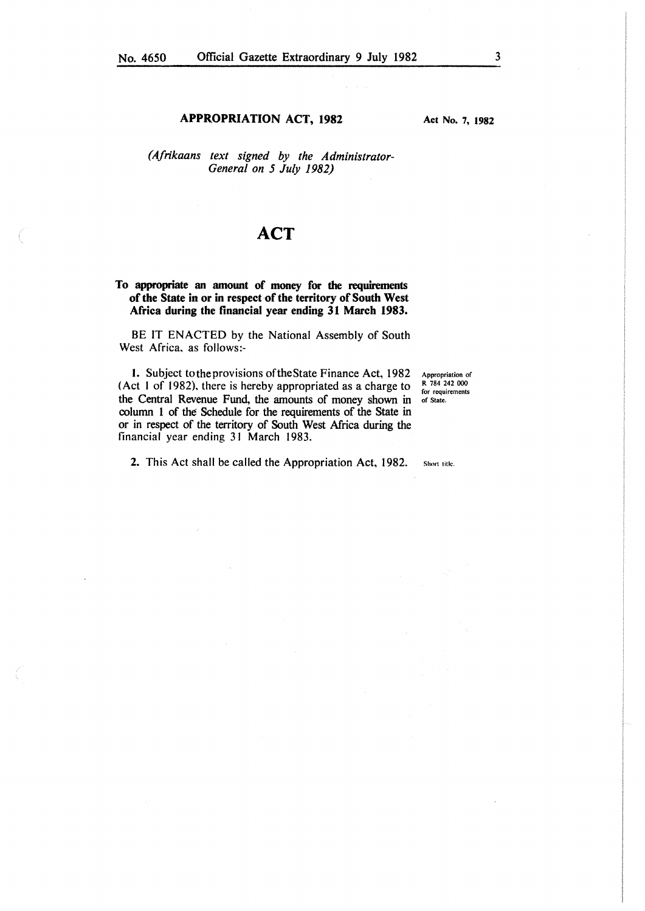#### APPROPRIATION ACT, 1982

Act No. 7, 1982

*(Afrikaans text signed by the Administrator-General on 5 July 1982)* 

## **ACT**

#### To appropriate an amount of money for the requirements of the State in or in respect of the territory of South West Africa during the financial year ending 31 March 1983.

BE IT ENACTED by the National Assembly of South West Africa, as follows:-

I. Subject totheprovisions oftheState Finance Act, 1982 (Act I of 1982), there is hereby appropriated as a charge to the Central Revenue Fund, the amounts of money shown in column 1 of the Schedule for the requirements of the State in or in respect of the territory of South West Africa during the financial year ending 31 March 1983.

Appropriation of R 784 242 000 for requirements of State.

Short title.

2. This Act shall be called the Appropriation Act, 1982.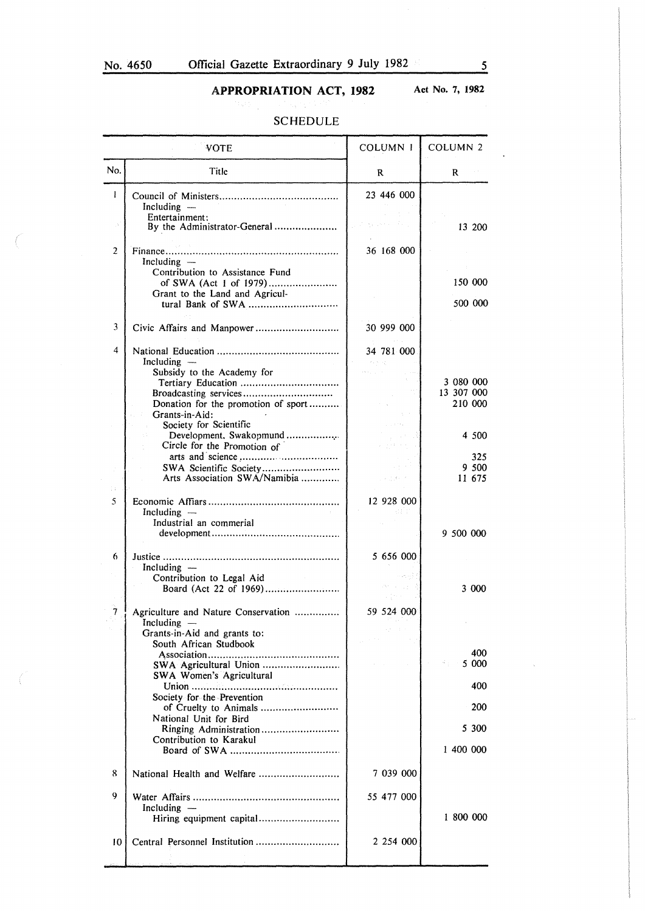## APPROPRIATION ACT, 1982 Act No. 7, 1982

#### SCHEDULE

|                | <b>VOTE</b>                                                                   | <b>COLUMN 1</b>                                 | <b>COLUMN 2</b>        |
|----------------|-------------------------------------------------------------------------------|-------------------------------------------------|------------------------|
| No.            | Title                                                                         | R                                               | R                      |
| 1              | Including -<br>Entertainment:                                                 | 23 446 000                                      |                        |
|                | By the Administrator-General                                                  |                                                 | 13 200                 |
| $\overline{2}$ | Including $-$<br>Contribution to Assistance Fund                              | 36 168 000                                      |                        |
|                | of SWA (Act 1 of 1979)<br>Grant to the Land and Agricul-<br>tural Bank of SWA |                                                 | 150 000<br>500 000     |
| 3              |                                                                               | 30 999 000                                      |                        |
| 4              | Including $-$                                                                 | 34 781 000<br>$\ell_1, \ell_2, \ell_2, \ldots$  |                        |
|                | Subsidy to the Academy for                                                    |                                                 |                        |
|                |                                                                               |                                                 | 3 080 000              |
|                |                                                                               |                                                 | 13 307 000             |
|                | Donation for the promotion of sport                                           |                                                 | 210 000                |
|                | Grants-in-Aid:<br>Society for Scientific                                      |                                                 |                        |
|                | Development, Swakopmund                                                       |                                                 | 4 500                  |
|                | Circle for the Promotion of                                                   |                                                 |                        |
|                |                                                                               |                                                 | 325                    |
|                | SWA Scientific Society                                                        |                                                 | 9 500                  |
|                | Arts Association SWA/Namibia                                                  | Longue of                                       | 11 675                 |
| Ð.             |                                                                               |                                                 |                        |
| 5              | Including $-$                                                                 | 12 928 000                                      |                        |
|                | Industrial an commerial                                                       |                                                 |                        |
|                |                                                                               |                                                 | 9 500 000              |
| 6              | Including $-$                                                                 | 5 656 000                                       |                        |
|                | Contribution to Legal Aid                                                     |                                                 |                        |
|                |                                                                               |                                                 | 3 000                  |
| 7              | Agriculture and Nature Conservation<br>Including ·                            | 59 524 000                                      |                        |
|                | Grants-in-Aid and grants to:                                                  | $\lambda_1^{\rm (in)}$ , $\lambda_2^{\rm (in)}$ |                        |
|                | South African Studbook                                                        |                                                 | 400                    |
|                | SWA Agricultural Union<br>SWA Women's Agricultural                            |                                                 | <b>Report</b><br>5 000 |
|                | Society for the Prevention                                                    |                                                 | 400                    |
|                | of Cruelty to Animals                                                         |                                                 | 200                    |
|                | National Unit for Bird<br>Ringing Administration                              |                                                 | 5 300                  |
|                | Contribution to Karakul                                                       |                                                 | 1 400 000              |
| 8              | National Health and Welfare                                                   | 7 039 000                                       |                        |
| 9              | Including $-$                                                                 | 55 477 000                                      |                        |
|                | Hiring equipment capital                                                      |                                                 | 1800000                |
| 10             |                                                                               | 2 254 000                                       |                        |
|                |                                                                               |                                                 |                        |

 $\ddot{\phantom{a}}$ 

 $\bar{\mathbf{v}}$